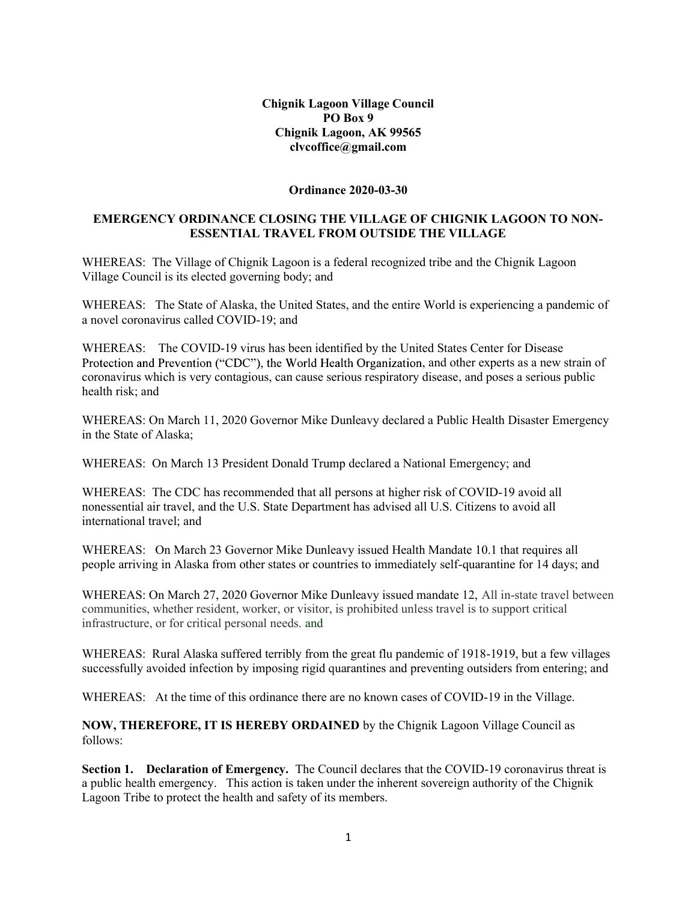Chignik Lagoon Village Council PO Box 9 Chignik Lagoon, AK 99565 clvcoffice@gmail.com

## Ordinance 2020-03-30

## EMERGENCY ORDINANCE CLOSING THE VILLAGE OF CHIGNIK LAGOON TO NON-ESSENTIAL TRAVEL FROM OUTSIDE THE VILLAGE

WHEREAS: The Village of Chignik Lagoon is a federal recognized tribe and the Chignik Lagoon Village Council is its elected governing body; and

WHEREAS: The State of Alaska, the United States, and the entire World is experiencing a pandemic of a novel coronavirus called COVID-19; and

WHEREAS: The COVID-19 virus has been identified by the United States Center for Disease Protection and Prevention ("CDC"), the World Health Organization, and other experts as a new strain of coronavirus which is very contagious, can cause serious respiratory disease, and poses a serious public health risk; and

WHEREAS: On March 11, 2020 Governor Mike Dunleavy declared a Public Health Disaster Emergency in the State of Alaska;

WHEREAS: On March 13 President Donald Trump declared a National Emergency; and

WHEREAS: The CDC has recommended that all persons at higher risk of COVID-19 avoid all nonessential air travel, and the U.S. State Department has advised all U.S. Citizens to avoid all international travel; and

WHEREAS: On March 23 Governor Mike Dunleavy issued Health Mandate 10.1 that requires all people arriving in Alaska from other states or countries to immediately self-quarantine for 14 days; and

WHEREAS: On March 27, 2020 Governor Mike Dunleavy issued mandate 12, All in-state travel between communities, whether resident, worker, or visitor, is prohibited unless travel is to support critical infrastructure, or for critical personal needs. and

WHEREAS: Rural Alaska suffered terribly from the great flu pandemic of 1918-1919, but a few villages successfully avoided infection by imposing rigid quarantines and preventing outsiders from entering; and

WHEREAS: At the time of this ordinance there are no known cases of COVID-19 in the Village.

NOW, THEREFORE, IT IS HEREBY ORDAINED by the Chignik Lagoon Village Council as follows:

Section 1. Declaration of Emergency. The Council declares that the COVID-19 coronavirus threat is a public health emergency. This action is taken under the inherent sovereign authority of the Chignik Lagoon Tribe to protect the health and safety of its members.